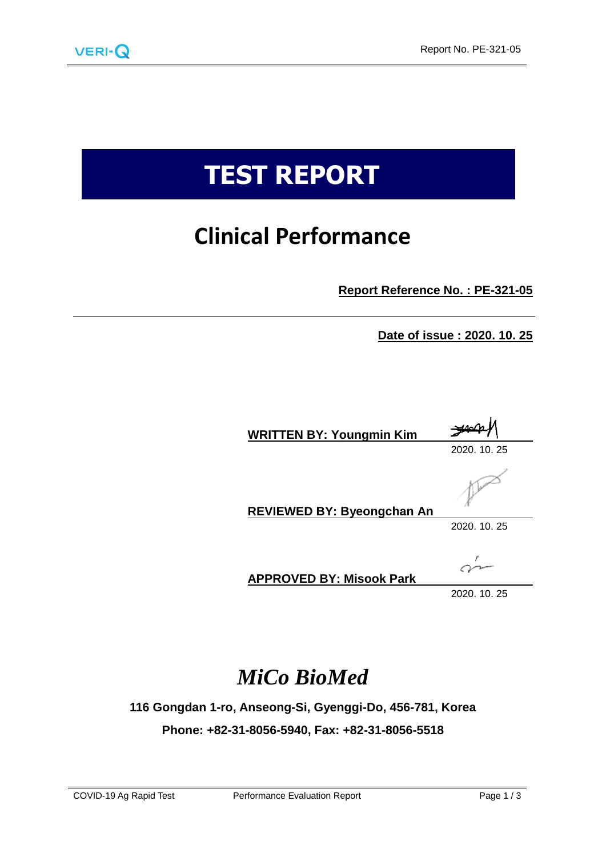

# **TEST REPORT**

## **Clinical Performance**

**Report Reference No. : PE-321-05**

**Date of issue : 2020. 10. 25**

| <b>WRITTEN BY: Youngmin Kim</b>   | فكمصد        |
|-----------------------------------|--------------|
|                                   | 2020, 10, 25 |
| <b>REVIEWED BY: Byeongchan An</b> |              |
|                                   | 2020, 10, 25 |
|                                   |              |

**APPROVED BY: Misook Park**

2020. 10. 25

### *MiCo BioMed*

**116 Gongdan 1-ro, Anseong-Si, Gyenggi-Do, 456-781, Korea**

**Phone: +82-31-8056-5940, Fax: +82-31-8056-5518**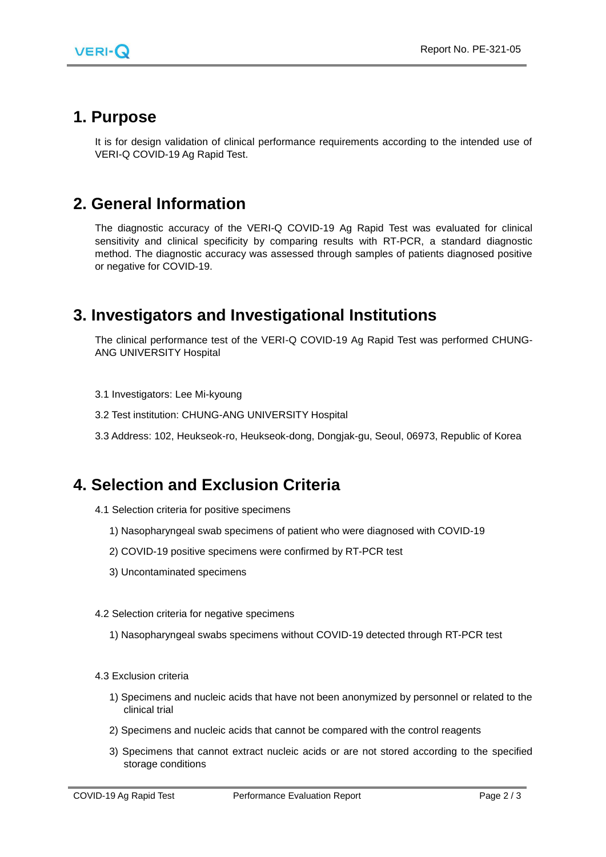

#### **1. Purpose**

It is for design validation of clinical performance requirements according to the intended use of VERI-Q COVID-19 Ag Rapid Test.

#### **2. General Information**

The diagnostic accuracy of the VERI-Q COVID-19 Ag Rapid Test was evaluated for clinical sensitivity and clinical specificity by comparing results with RT-PCR, a standard diagnostic method. The diagnostic accuracy was assessed through samples of patients diagnosed positive or negative for COVID-19.

#### **3. Investigators and Investigational Institutions**

The clinical performance test of the VERI-Q COVID-19 Ag Rapid Test was performed CHUNG-ANG UNIVERSITY Hospital

- 3.1 Investigators: Lee Mi-kyoung
- 3.2 Test institution: CHUNG-ANG UNIVERSITY Hospital
- 3.3 Address: 102, Heukseok-ro, Heukseok-dong, Dongjak-gu, Seoul, 06973, Republic of Korea

#### **4. Selection and Exclusion Criteria**

- 4.1 Selection criteria for positive specimens
	- 1) Nasopharyngeal swab specimens of patient who were diagnosed with COVID-19
	- 2) COVID-19 positive specimens were confirmed by RT-PCR test
	- 3) Uncontaminated specimens
- 4.2 Selection criteria for negative specimens
	- 1) Nasopharyngeal swabs specimens without COVID-19 detected through RT-PCR test
- 4.3 Exclusion criteria
	- 1) Specimens and nucleic acids that have not been anonymized by personnel or related to the clinical trial
	- 2) Specimens and nucleic acids that cannot be compared with the control reagents
	- 3) Specimens that cannot extract nucleic acids or are not stored according to the specified storage conditions